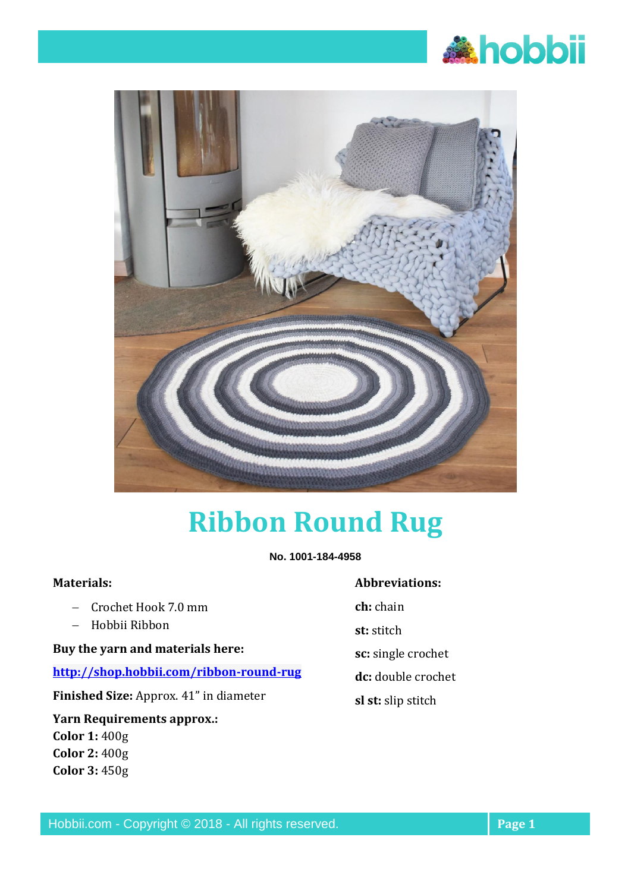



# **Ribbon Round Rug**

**No. 1001-184-4958**

#### **Materials:**

- − Crochet Hook 7.0 mm
- − Hobbii Ribbon

**Buy the yarn and materials here:** 

## **<http://shop.hobbii.com/ribbon-round-rug>**

**Finished Size:** Approx. 41" in diameter

## **Yarn Requirements approx.: Color 1:** 400g **Color 2:** 400g **Color 3:** 450g

#### **Abbreviations:**

**ch:** chain

**st:** stitch

- **sc:** single crochet
- **dc:** double crochet
- **sl st:** slip stitch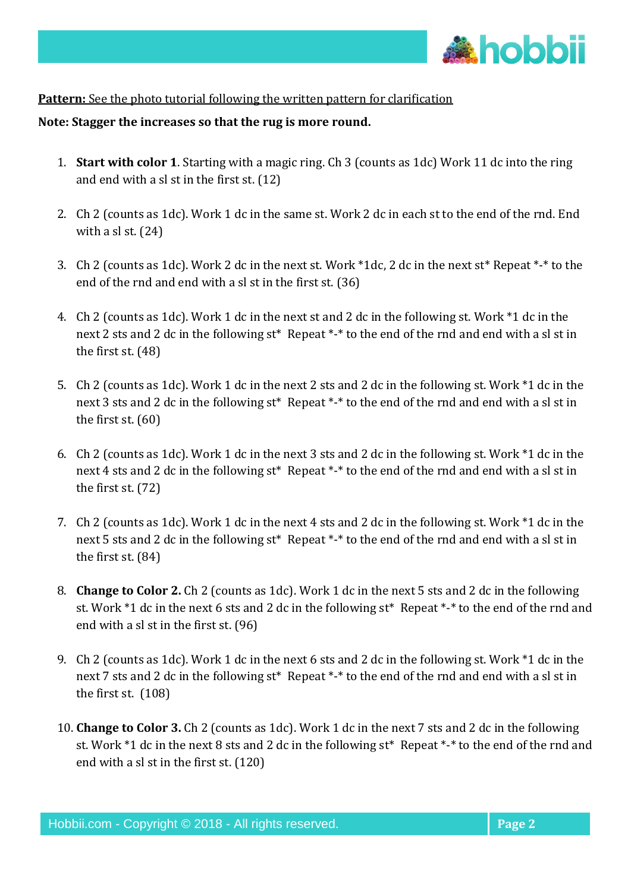

## **Pattern:** See the photo tutorial following the written pattern for clarification

#### **Note: Stagger the increases so that the rug is more round.**

- 1. **Start with color 1**. Starting with a magic ring. Ch 3 (counts as 1dc) Work 11 dc into the ring and end with a sl st in the first st. (12)
- 2. Ch 2 (counts as 1dc). Work 1 dc in the same st. Work 2 dc in each st to the end of the rnd. End with a sl st. (24)
- 3. Ch 2 (counts as 1dc). Work 2 dc in the next st. Work \*1dc, 2 dc in the next st\* Repeat \*-\* to the end of the rnd and end with a sl st in the first st. (36)
- 4. Ch 2 (counts as 1dc). Work 1 dc in the next st and 2 dc in the following st. Work \*1 dc in the next 2 sts and 2 dc in the following st\* Repeat \*-\* to the end of the rnd and end with a sl st in the first st. (48)
- 5. Ch 2 (counts as 1dc). Work 1 dc in the next 2 sts and 2 dc in the following st. Work \*1 dc in the next 3 sts and 2 dc in the following st\* Repeat \*-\* to the end of the rnd and end with a sl st in the first st. (60)
- 6. Ch 2 (counts as 1dc). Work 1 dc in the next 3 sts and 2 dc in the following st. Work \*1 dc in the next 4 sts and 2 dc in the following st\* Repeat \*-\* to the end of the rnd and end with a sl st in the first st. (72)
- 7. Ch 2 (counts as 1dc). Work 1 dc in the next 4 sts and 2 dc in the following st. Work \*1 dc in the next 5 sts and 2 dc in the following st\* Repeat \*-\* to the end of the rnd and end with a sl st in the first st. (84)
- 8. **Change to Color 2.** Ch 2 (counts as 1dc). Work 1 dc in the next 5 sts and 2 dc in the following st. Work \*1 dc in the next 6 sts and 2 dc in the following st\* Repeat \*-\* to the end of the rnd and end with a sl st in the first st. (96)
- 9. Ch 2 (counts as 1dc). Work 1 dc in the next 6 sts and 2 dc in the following st. Work \*1 dc in the next 7 sts and 2 dc in the following st\* Repeat \*-\* to the end of the rnd and end with a sl st in the first st. (108)
- 10. **Change to Color 3.** Ch 2 (counts as 1dc). Work 1 dc in the next 7 sts and 2 dc in the following st. Work \*1 dc in the next 8 sts and 2 dc in the following st\* Repeat \*-\* to the end of the rnd and end with a sl st in the first st. (120)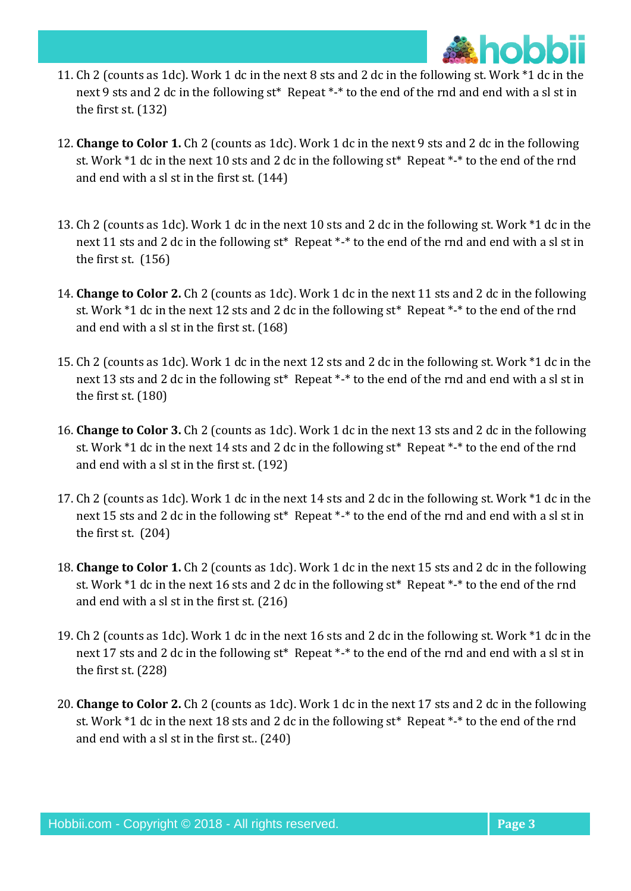

- 11. Ch 2 (counts as 1dc). Work 1 dc in the next 8 sts and 2 dc in the following st. Work \*1 dc in the next 9 sts and 2 dc in the following st\* Repeat \*-\* to the end of the rnd and end with a sl st in the first st. (132)
- 12. **Change to Color 1.** Ch 2 (counts as 1dc). Work 1 dc in the next 9 sts and 2 dc in the following st. Work \*1 dc in the next 10 sts and 2 dc in the following st\* Repeat \*-\* to the end of the rnd and end with a sl st in the first st. (144)
- 13. Ch 2 (counts as 1dc). Work 1 dc in the next 10 sts and 2 dc in the following st. Work \*1 dc in the next 11 sts and 2 dc in the following st\* Repeat \*-\* to the end of the rnd and end with a sl st in the first st. (156)
- 14. **Change to Color 2.** Ch 2 (counts as 1dc). Work 1 dc in the next 11 sts and 2 dc in the following st. Work \*1 dc in the next 12 sts and 2 dc in the following st\* Repeat \*-\* to the end of the rnd and end with a sl st in the first st. (168)
- 15. Ch 2 (counts as 1dc). Work 1 dc in the next 12 sts and 2 dc in the following st. Work \*1 dc in the next 13 sts and 2 dc in the following st\* Repeat \*-\* to the end of the rnd and end with a sl st in the first st. (180)
- 16. **Change to Color 3.** Ch 2 (counts as 1dc). Work 1 dc in the next 13 sts and 2 dc in the following st. Work \*1 dc in the next 14 sts and 2 dc in the following st\* Repeat \*-\* to the end of the rnd and end with a sl st in the first st. (192)
- 17. Ch 2 (counts as 1dc). Work 1 dc in the next 14 sts and 2 dc in the following st. Work \*1 dc in the next 15 sts and 2 dc in the following st<sup>\*</sup> Repeat \*-\* to the end of the rnd and end with a sl st in the first st. (204)
- 18. **Change to Color 1.** Ch 2 (counts as 1dc). Work 1 dc in the next 15 sts and 2 dc in the following st. Work \*1 dc in the next 16 sts and 2 dc in the following st\* Repeat \*-\* to the end of the rnd and end with a sl st in the first st. (216)
- 19. Ch 2 (counts as 1dc). Work 1 dc in the next 16 sts and 2 dc in the following st. Work \*1 dc in the next 17 sts and 2 dc in the following st\* Repeat \*-\* to the end of the rnd and end with a sl st in the first st. (228)
- 20. **Change to Color 2.** Ch 2 (counts as 1dc). Work 1 dc in the next 17 sts and 2 dc in the following st. Work \*1 dc in the next 18 sts and 2 dc in the following st\* Repeat \*-\* to the end of the rnd and end with a sl st in the first st.. (240)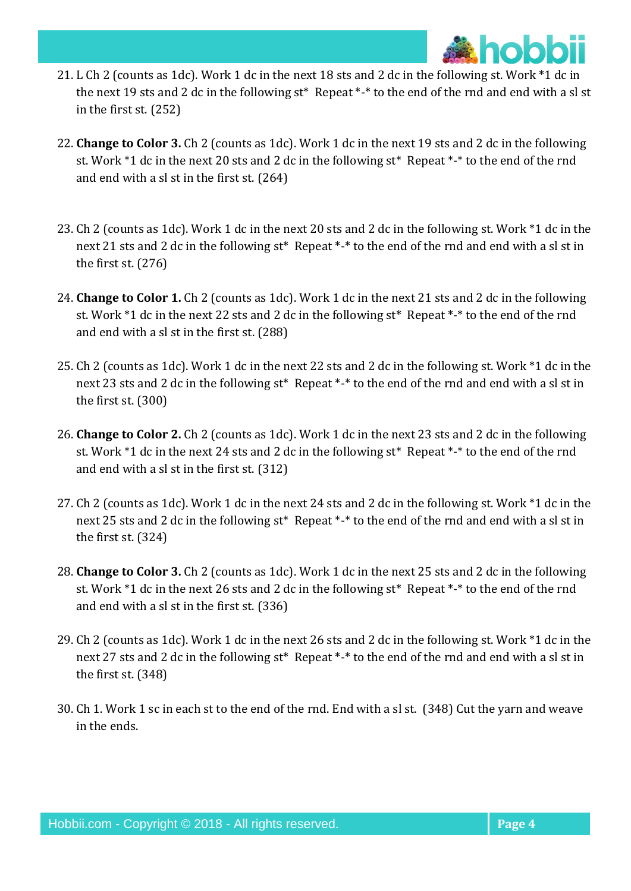

- 21. L Ch 2 (counts as 1dc). Work 1 dc in the next 18 sts and 2 dc in the following st. Work \*1 dc in the next 19 sts and 2 dc in the following st\* Repeat \*-\* to the end of the rnd and end with a sl st in the first st. (252)
- 22. **Change to Color 3.** Ch 2 (counts as 1dc). Work 1 dc in the next 19 sts and 2 dc in the following st. Work \*1 dc in the next 20 sts and 2 dc in the following st\* Repeat \*-\* to the end of the rnd and end with a sl st in the first st. (264)
- 23. Ch 2 (counts as 1dc). Work 1 dc in the next 20 sts and 2 dc in the following st. Work \*1 dc in the next 21 sts and 2 dc in the following st\* Repeat \*-\* to the end of the rnd and end with a sl st in the first st. (276)
- 24. **Change to Color 1.** Ch 2 (counts as 1dc). Work 1 dc in the next 21 sts and 2 dc in the following st. Work \*1 dc in the next 22 sts and 2 dc in the following st\* Repeat \*-\* to the end of the rnd and end with a sl st in the first st. (288)
- 25. Ch 2 (counts as 1dc). Work 1 dc in the next 22 sts and 2 dc in the following st. Work \*1 dc in the next 23 sts and 2 dc in the following st\* Repeat \*-\* to the end of the rnd and end with a sl st in the first st. (300)
- 26. **Change to Color 2.** Ch 2 (counts as 1dc). Work 1 dc in the next 23 sts and 2 dc in the following st. Work \*1 dc in the next 24 sts and 2 dc in the following st\* Repeat \*-\* to the end of the rnd and end with a sl st in the first st. (312)
- 27. Ch 2 (counts as 1dc). Work 1 dc in the next 24 sts and 2 dc in the following st. Work \*1 dc in the next 25 sts and 2 dc in the following st\* Repeat \*-\* to the end of the rnd and end with a sl st in the first st. (324)
- 28. **Change to Color 3.** Ch 2 (counts as 1dc). Work 1 dc in the next 25 sts and 2 dc in the following st. Work \*1 dc in the next 26 sts and 2 dc in the following st\* Repeat \*-\* to the end of the rnd and end with a sl st in the first st. (336)
- 29. Ch 2 (counts as 1dc). Work 1 dc in the next 26 sts and 2 dc in the following st. Work \*1 dc in the next 27 sts and 2 dc in the following st\* Repeat \*-\* to the end of the rnd and end with a sl st in the first st. (348)
- 30. Ch 1. Work 1 sc in each st to the end of the rnd. End with a sl st. (348) Cut the yarn and weave in the ends.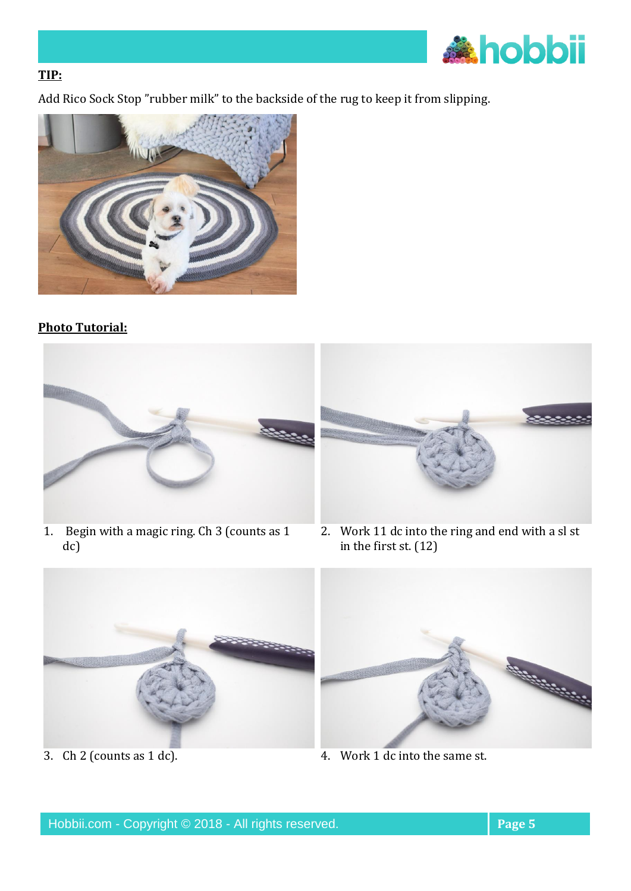

# **TIP:**

Add Rico Sock Stop "rubber milk" to the backside of the rug to keep it from slipping.



# **Photo Tutorial:**



1. Begin with a magic ring. Ch 3 (counts as 1 dc)



2. Work 11 dc into the ring and end with a sl st in the first st. (12)





3. Ch 2 (counts as 1 dc). 4. Work 1 dc into the same st.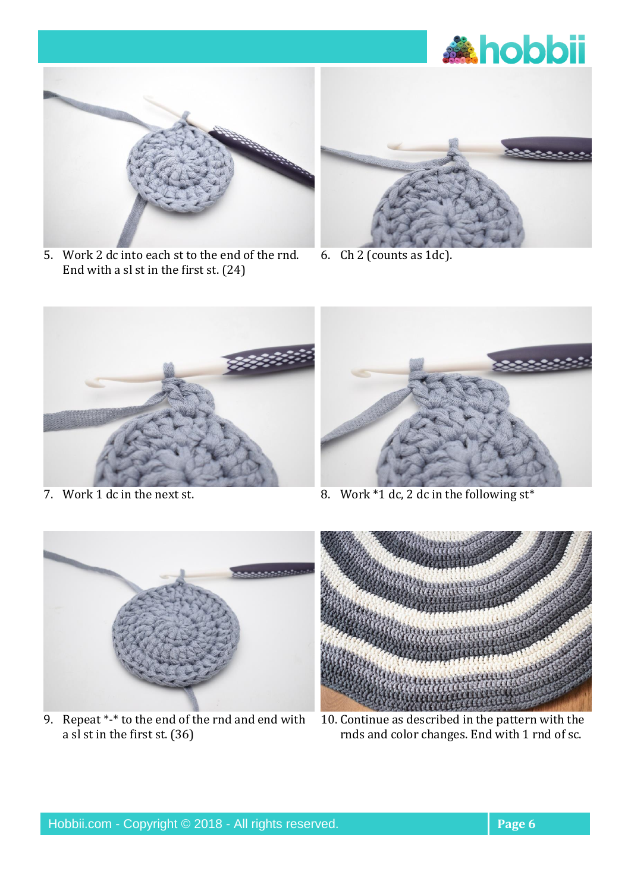



5. Work 2 dc into each st to the end of the rnd. End with a sl st in the first st. (24)



6. Ch 2 (counts as 1dc).





7. Work 1 dc in the next st. 8. Work \*1 dc, 2 dc in the following st\*



9. Repeat \*-\* to the end of the rnd and end with a sl st in the first st. (36)



10. Continue as described in the pattern with the rnds and color changes. End with 1 rnd of sc.